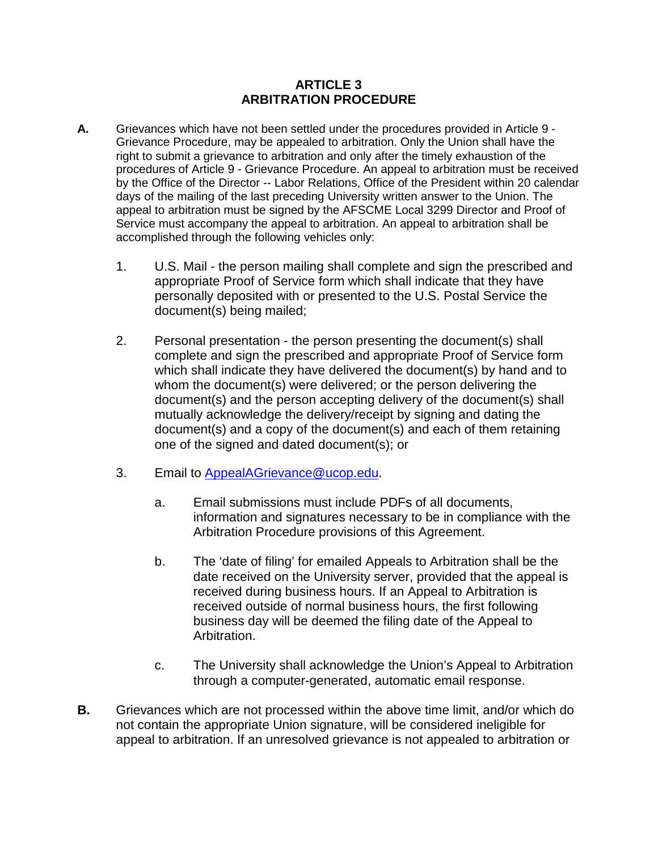### **ARTICLE 3 ARBITRATION PROCEDURE**

- **A.** Grievances which have not been settled under the procedures provided in Article 9 Grievance Procedure, may be appealed to arbitration. Only the Union shall have the right to submit a grievance to arbitration and only after the timely exhaustion of the procedures of Article 9 - Grievance Procedure. An appeal to arbitration must be received by the Office of the Director -- Labor Relations, Office of the President within 20 calendar days of the mailing of the last preceding University written answer to the Union. The appeal to arbitration must be signed by the AFSCME Local 3299 Director and Proof of Service must accompany the appeal to arbitration. An appeal to arbitration shall be accomplished through the following vehicles only:
	- 1. U.S. Mail the person mailing shall complete and sign the prescribed and appropriate Proof of Service form which shall indicate that they have personally deposited with or presented to the U.S. Postal Service the document(s) being mailed;
	- 2. Personal presentation the person presenting the document(s) shall complete and sign the prescribed and appropriate Proof of Service form which shall indicate they have delivered the document(s) by hand and to whom the document(s) were delivered; or the person delivering the document(s) and the person accepting delivery of the document(s) shall mutually acknowledge the delivery/receipt by signing and dating the document(s) and a copy of the document(s) and each of them retaining one of the signed and dated document(s); or
	- 3. Email to [AppealAGrievance@ucop.edu.](mailto:AppealAGrievance@ucop.edu)
		- a. Email submissions must include PDFs of all documents, information and signatures necessary to be in compliance with the Arbitration Procedure provisions of this Agreement.
		- b. The 'date of filing' for emailed Appeals to Arbitration shall be the date received on the University server, provided that the appeal is received during business hours. If an Appeal to Arbitration is received outside of normal business hours, the first following business day will be deemed the filing date of the Appeal to Arbitration.
		- c. The University shall acknowledge the Union's Appeal to Arbitration through a computer-generated, automatic email response.
- **B.** Grievances which are not processed within the above time limit, and/or which do not contain the appropriate Union signature, will be considered ineligible for appeal to arbitration. If an unresolved grievance is not appealed to arbitration or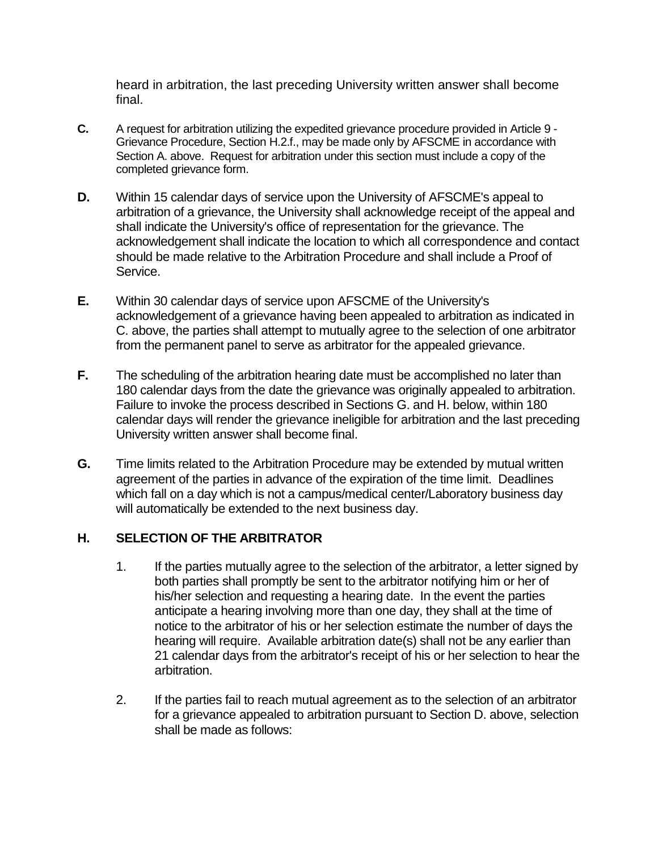heard in arbitration, the last preceding University written answer shall become final.

- **C.** A request for arbitration utilizing the expedited grievance procedure provided in Article 9 Grievance Procedure, Section H.2.f., may be made only by AFSCME in accordance with Section A. above. Request for arbitration under this section must include a copy of the completed grievance form.
- **D.** Within 15 calendar days of service upon the University of AFSCME's appeal to arbitration of a grievance, the University shall acknowledge receipt of the appeal and shall indicate the University's office of representation for the grievance. The acknowledgement shall indicate the location to which all correspondence and contact should be made relative to the Arbitration Procedure and shall include a Proof of Service.
- **E.** Within 30 calendar days of service upon AFSCME of the University's acknowledgement of a grievance having been appealed to arbitration as indicated in C. above, the parties shall attempt to mutually agree to the selection of one arbitrator from the permanent panel to serve as arbitrator for the appealed grievance.
- **F.** The scheduling of the arbitration hearing date must be accomplished no later than 180 calendar days from the date the grievance was originally appealed to arbitration. Failure to invoke the process described in Sections G. and H. below, within 180 calendar days will render the grievance ineligible for arbitration and the last preceding University written answer shall become final.
- **G.** Time limits related to the Arbitration Procedure may be extended by mutual written agreement of the parties in advance of the expiration of the time limit. Deadlines which fall on a day which is not a campus/medical center/Laboratory business day will automatically be extended to the next business day.

### **H. SELECTION OF THE ARBITRATOR**

- 1. If the parties mutually agree to the selection of the arbitrator, a letter signed by both parties shall promptly be sent to the arbitrator notifying him or her of his/her selection and requesting a hearing date. In the event the parties anticipate a hearing involving more than one day, they shall at the time of notice to the arbitrator of his or her selection estimate the number of days the hearing will require. Available arbitration date(s) shall not be any earlier than 21 calendar days from the arbitrator's receipt of his or her selection to hear the arbitration.
- 2. If the parties fail to reach mutual agreement as to the selection of an arbitrator for a grievance appealed to arbitration pursuant to Section D. above, selection shall be made as follows: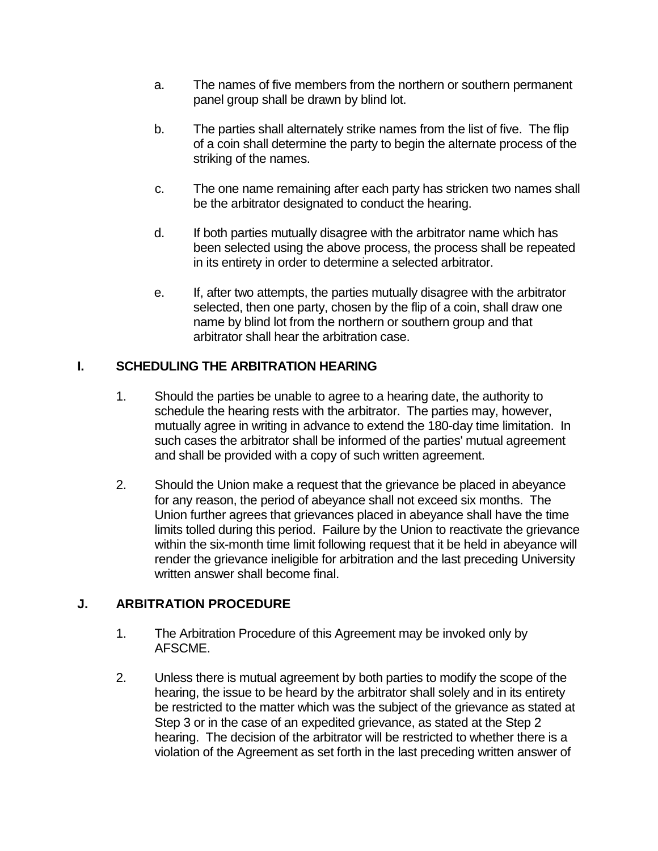- a. The names of five members from the northern or southern permanent panel group shall be drawn by blind lot.
- b. The parties shall alternately strike names from the list of five. The flip of a coin shall determine the party to begin the alternate process of the striking of the names.
- c. The one name remaining after each party has stricken two names shall be the arbitrator designated to conduct the hearing.
- d. If both parties mutually disagree with the arbitrator name which has been selected using the above process, the process shall be repeated in its entirety in order to determine a selected arbitrator.
- e. If, after two attempts, the parties mutually disagree with the arbitrator selected, then one party, chosen by the flip of a coin, shall draw one name by blind lot from the northern or southern group and that arbitrator shall hear the arbitration case.

# **I. SCHEDULING THE ARBITRATION HEARING**

- 1. Should the parties be unable to agree to a hearing date, the authority to schedule the hearing rests with the arbitrator. The parties may, however, mutually agree in writing in advance to extend the 180-day time limitation. In such cases the arbitrator shall be informed of the parties' mutual agreement and shall be provided with a copy of such written agreement.
- 2. Should the Union make a request that the grievance be placed in abeyance for any reason, the period of abeyance shall not exceed six months. The Union further agrees that grievances placed in abeyance shall have the time limits tolled during this period. Failure by the Union to reactivate the grievance within the six-month time limit following request that it be held in abeyance will render the grievance ineligible for arbitration and the last preceding University written answer shall become final.

## **J. ARBITRATION PROCEDURE**

- 1. The Arbitration Procedure of this Agreement may be invoked only by AFSCME.
- 2. Unless there is mutual agreement by both parties to modify the scope of the hearing, the issue to be heard by the arbitrator shall solely and in its entirety be restricted to the matter which was the subject of the grievance as stated at Step 3 or in the case of an expedited grievance, as stated at the Step 2 hearing. The decision of the arbitrator will be restricted to whether there is a violation of the Agreement as set forth in the last preceding written answer of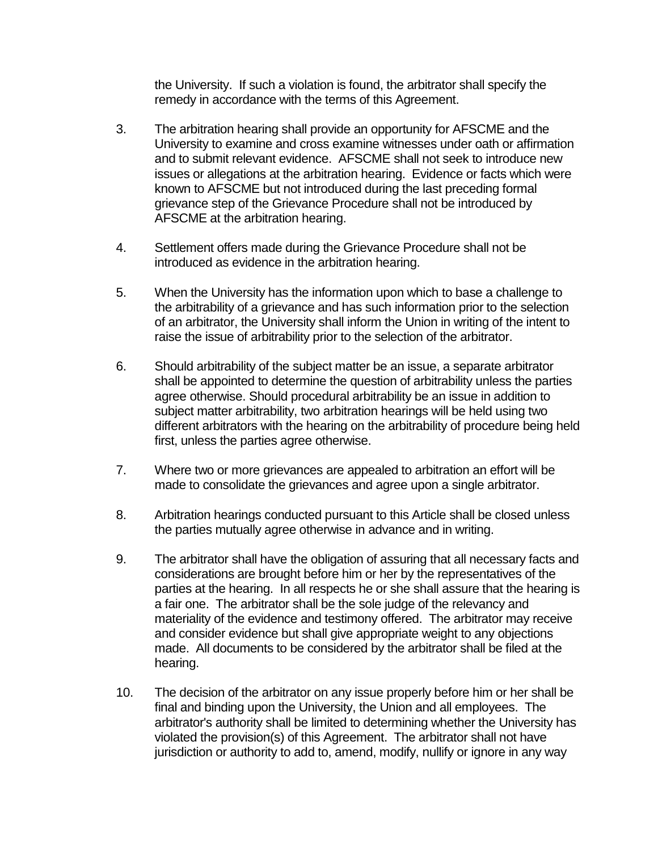the University. If such a violation is found, the arbitrator shall specify the remedy in accordance with the terms of this Agreement.

- 3. The arbitration hearing shall provide an opportunity for AFSCME and the University to examine and cross examine witnesses under oath or affirmation and to submit relevant evidence. AFSCME shall not seek to introduce new issues or allegations at the arbitration hearing. Evidence or facts which were known to AFSCME but not introduced during the last preceding formal grievance step of the Grievance Procedure shall not be introduced by AFSCME at the arbitration hearing.
- 4. Settlement offers made during the Grievance Procedure shall not be introduced as evidence in the arbitration hearing.
- 5. When the University has the information upon which to base a challenge to the arbitrability of a grievance and has such information prior to the selection of an arbitrator, the University shall inform the Union in writing of the intent to raise the issue of arbitrability prior to the selection of the arbitrator.
- 6. Should arbitrability of the subject matter be an issue, a separate arbitrator shall be appointed to determine the question of arbitrability unless the parties agree otherwise. Should procedural arbitrability be an issue in addition to subject matter arbitrability, two arbitration hearings will be held using two different arbitrators with the hearing on the arbitrability of procedure being held first, unless the parties agree otherwise.
- 7. Where two or more grievances are appealed to arbitration an effort will be made to consolidate the grievances and agree upon a single arbitrator.
- 8. Arbitration hearings conducted pursuant to this Article shall be closed unless the parties mutually agree otherwise in advance and in writing.
- 9. The arbitrator shall have the obligation of assuring that all necessary facts and considerations are brought before him or her by the representatives of the parties at the hearing. In all respects he or she shall assure that the hearing is a fair one. The arbitrator shall be the sole judge of the relevancy and materiality of the evidence and testimony offered. The arbitrator may receive and consider evidence but shall give appropriate weight to any objections made. All documents to be considered by the arbitrator shall be filed at the hearing.
- 10. The decision of the arbitrator on any issue properly before him or her shall be final and binding upon the University, the Union and all employees. The arbitrator's authority shall be limited to determining whether the University has violated the provision(s) of this Agreement. The arbitrator shall not have jurisdiction or authority to add to, amend, modify, nullify or ignore in any way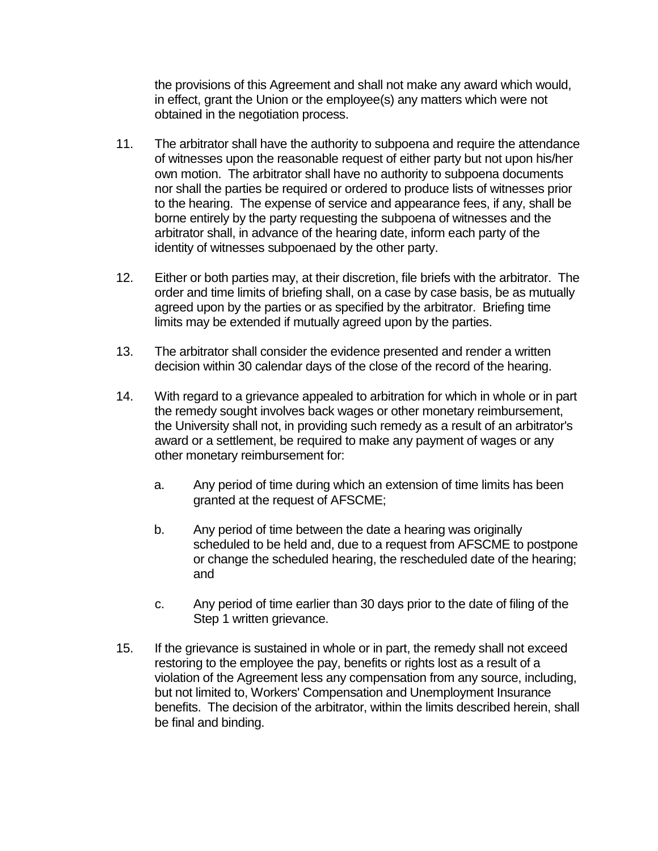the provisions of this Agreement and shall not make any award which would, in effect, grant the Union or the employee(s) any matters which were not obtained in the negotiation process.

- 11. The arbitrator shall have the authority to subpoena and require the attendance of witnesses upon the reasonable request of either party but not upon his/her own motion. The arbitrator shall have no authority to subpoena documents nor shall the parties be required or ordered to produce lists of witnesses prior to the hearing. The expense of service and appearance fees, if any, shall be borne entirely by the party requesting the subpoena of witnesses and the arbitrator shall, in advance of the hearing date, inform each party of the identity of witnesses subpoenaed by the other party.
- 12. Either or both parties may, at their discretion, file briefs with the arbitrator. The order and time limits of briefing shall, on a case by case basis, be as mutually agreed upon by the parties or as specified by the arbitrator. Briefing time limits may be extended if mutually agreed upon by the parties.
- 13. The arbitrator shall consider the evidence presented and render a written decision within 30 calendar days of the close of the record of the hearing.
- 14. With regard to a grievance appealed to arbitration for which in whole or in part the remedy sought involves back wages or other monetary reimbursement, the University shall not, in providing such remedy as a result of an arbitrator's award or a settlement, be required to make any payment of wages or any other monetary reimbursement for:
	- a. Any period of time during which an extension of time limits has been granted at the request of AFSCME;
	- b. Any period of time between the date a hearing was originally scheduled to be held and, due to a request from AFSCME to postpone or change the scheduled hearing, the rescheduled date of the hearing; and
	- c. Any period of time earlier than 30 days prior to the date of filing of the Step 1 written grievance.
- 15. If the grievance is sustained in whole or in part, the remedy shall not exceed restoring to the employee the pay, benefits or rights lost as a result of a violation of the Agreement less any compensation from any source, including, but not limited to, Workers' Compensation and Unemployment Insurance benefits. The decision of the arbitrator, within the limits described herein, shall be final and binding.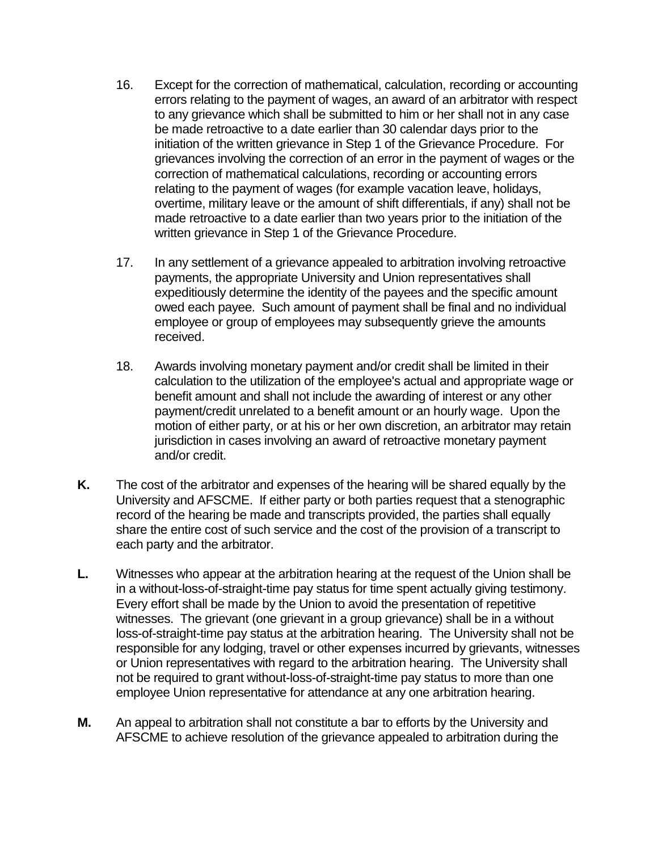- 16. Except for the correction of mathematical, calculation, recording or accounting errors relating to the payment of wages, an award of an arbitrator with respect to any grievance which shall be submitted to him or her shall not in any case be made retroactive to a date earlier than 30 calendar days prior to the initiation of the written grievance in Step 1 of the Grievance Procedure. For grievances involving the correction of an error in the payment of wages or the correction of mathematical calculations, recording or accounting errors relating to the payment of wages (for example vacation leave, holidays, overtime, military leave or the amount of shift differentials, if any) shall not be made retroactive to a date earlier than two years prior to the initiation of the written grievance in Step 1 of the Grievance Procedure.
- 17. In any settlement of a grievance appealed to arbitration involving retroactive payments, the appropriate University and Union representatives shall expeditiously determine the identity of the payees and the specific amount owed each payee. Such amount of payment shall be final and no individual employee or group of employees may subsequently grieve the amounts received.
- 18. Awards involving monetary payment and/or credit shall be limited in their calculation to the utilization of the employee's actual and appropriate wage or benefit amount and shall not include the awarding of interest or any other payment/credit unrelated to a benefit amount or an hourly wage. Upon the motion of either party, or at his or her own discretion, an arbitrator may retain jurisdiction in cases involving an award of retroactive monetary payment and/or credit.
- **K.** The cost of the arbitrator and expenses of the hearing will be shared equally by the University and AFSCME. If either party or both parties request that a stenographic record of the hearing be made and transcripts provided, the parties shall equally share the entire cost of such service and the cost of the provision of a transcript to each party and the arbitrator.
- **L.** Witnesses who appear at the arbitration hearing at the request of the Union shall be in a without-loss-of-straight-time pay status for time spent actually giving testimony. Every effort shall be made by the Union to avoid the presentation of repetitive witnesses. The grievant (one grievant in a group grievance) shall be in a without loss-of-straight-time pay status at the arbitration hearing. The University shall not be responsible for any lodging, travel or other expenses incurred by grievants, witnesses or Union representatives with regard to the arbitration hearing. The University shall not be required to grant without-loss-of-straight-time pay status to more than one employee Union representative for attendance at any one arbitration hearing.
- **M.** An appeal to arbitration shall not constitute a bar to efforts by the University and AFSCME to achieve resolution of the grievance appealed to arbitration during the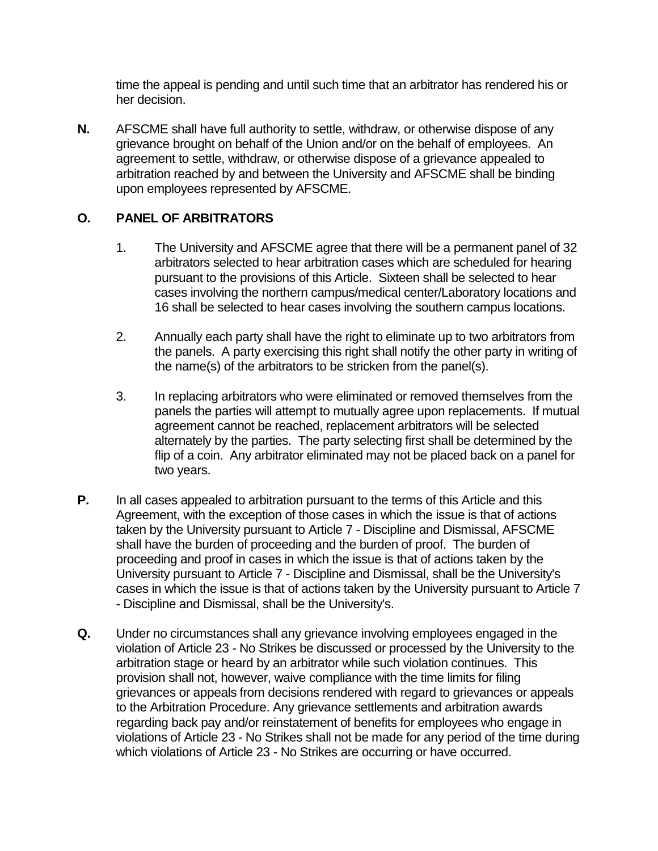time the appeal is pending and until such time that an arbitrator has rendered his or her decision.

**N.** AFSCME shall have full authority to settle, withdraw, or otherwise dispose of any grievance brought on behalf of the Union and/or on the behalf of employees. An agreement to settle, withdraw, or otherwise dispose of a grievance appealed to arbitration reached by and between the University and AFSCME shall be binding upon employees represented by AFSCME.

## **O. PANEL OF ARBITRATORS**

- 1. The University and AFSCME agree that there will be a permanent panel of 32 arbitrators selected to hear arbitration cases which are scheduled for hearing pursuant to the provisions of this Article. Sixteen shall be selected to hear cases involving the northern campus/medical center/Laboratory locations and 16 shall be selected to hear cases involving the southern campus locations.
- 2. Annually each party shall have the right to eliminate up to two arbitrators from the panels. A party exercising this right shall notify the other party in writing of the name(s) of the arbitrators to be stricken from the panel(s).
- 3. In replacing arbitrators who were eliminated or removed themselves from the panels the parties will attempt to mutually agree upon replacements. If mutual agreement cannot be reached, replacement arbitrators will be selected alternately by the parties. The party selecting first shall be determined by the flip of a coin. Any arbitrator eliminated may not be placed back on a panel for two years.
- **P.** In all cases appealed to arbitration pursuant to the terms of this Article and this Agreement, with the exception of those cases in which the issue is that of actions taken by the University pursuant to Article 7 - Discipline and Dismissal, AFSCME shall have the burden of proceeding and the burden of proof. The burden of proceeding and proof in cases in which the issue is that of actions taken by the University pursuant to Article 7 - Discipline and Dismissal, shall be the University's cases in which the issue is that of actions taken by the University pursuant to Article 7 - Discipline and Dismissal, shall be the University's.
- **Q.** Under no circumstances shall any grievance involving employees engaged in the violation of Article 23 - No Strikes be discussed or processed by the University to the arbitration stage or heard by an arbitrator while such violation continues. This provision shall not, however, waive compliance with the time limits for filing grievances or appeals from decisions rendered with regard to grievances or appeals to the Arbitration Procedure. Any grievance settlements and arbitration awards regarding back pay and/or reinstatement of benefits for employees who engage in violations of Article 23 - No Strikes shall not be made for any period of the time during which violations of Article 23 - No Strikes are occurring or have occurred.